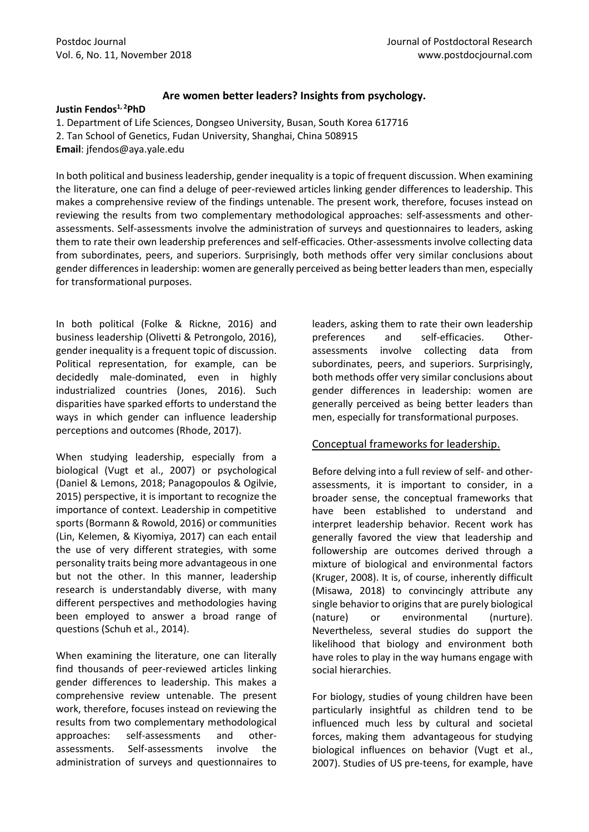# **Are women better leaders? Insights from psychology.**

#### **Justin Fendos1, <sup>2</sup>PhD**

- 1. Department of Life Sciences, Dongseo University, Busan, South Korea 617716
- 2. Tan School of Genetics, Fudan University, Shanghai, China 508915
- **Email**: jfendos@aya.yale.edu

In both political and business leadership, gender inequality is a topic of frequent discussion. When examining the literature, one can find a deluge of peer-reviewed articles linking gender differences to leadership. This makes a comprehensive review of the findings untenable. The present work, therefore, focuses instead on reviewing the results from two complementary methodological approaches: self-assessments and otherassessments. Self-assessments involve the administration of surveys and questionnaires to leaders, asking them to rate their own leadership preferences and self-efficacies. Other-assessments involve collecting data from subordinates, peers, and superiors. Surprisingly, both methods offer very similar conclusions about gender differences in leadership: women are generally perceived as being better leaders than men, especially for transformational purposes.

In both political (Folke & Rickne, 2016) and business leadership (Olivetti & Petrongolo, 2016), gender inequality is a frequent topic of discussion. Political representation, for example, can be decidedly male-dominated, even in highly industrialized countries (Jones, 2016). Such disparities have sparked efforts to understand the ways in which gender can influence leadership perceptions and outcomes (Rhode, 2017).

When studying leadership, especially from a biological (Vugt et al., 2007) or psychological (Daniel & Lemons, 2018; Panagopoulos & Ogilvie, 2015) perspective, it is important to recognize the importance of context. Leadership in competitive sports (Bormann & Rowold, 2016) or communities (Lin, Kelemen, & Kiyomiya, 2017) can each entail the use of very different strategies, with some personality traits being more advantageous in one but not the other. In this manner, leadership research is understandably diverse, with many different perspectives and methodologies having been employed to answer a broad range of questions (Schuh et al., 2014).

When examining the literature, one can literally find thousands of peer-reviewed articles linking gender differences to leadership. This makes a comprehensive review untenable. The present work, therefore, focuses instead on reviewing the results from two complementary methodological approaches: self-assessments and otherassessments. Self-assessments involve the administration of surveys and questionnaires to

leaders, asking them to rate their own leadership preferences and self-efficacies. Otherassessments involve collecting data from subordinates, peers, and superiors. Surprisingly, both methods offer very similar conclusions about gender differences in leadership: women are generally perceived as being better leaders than men, especially for transformational purposes.

# Conceptual frameworks for leadership.

Before delving into a full review of self- and otherassessments, it is important to consider, in a broader sense, the conceptual frameworks that have been established to understand and interpret leadership behavior. Recent work has generally favored the view that leadership and followership are outcomes derived through a mixture of biological and environmental factors (Kruger, 2008). It is, of course, inherently difficult (Misawa, 2018) to convincingly attribute any single behavior to origins that are purely biological (nature) or environmental (nurture). Nevertheless, several studies do support the likelihood that biology and environment both have roles to play in the way humans engage with social hierarchies.

For biology, studies of young children have been particularly insightful as children tend to be influenced much less by cultural and societal forces, making them advantageous for studying biological influences on behavior (Vugt et al., 2007). Studies of US pre-teens, for example, have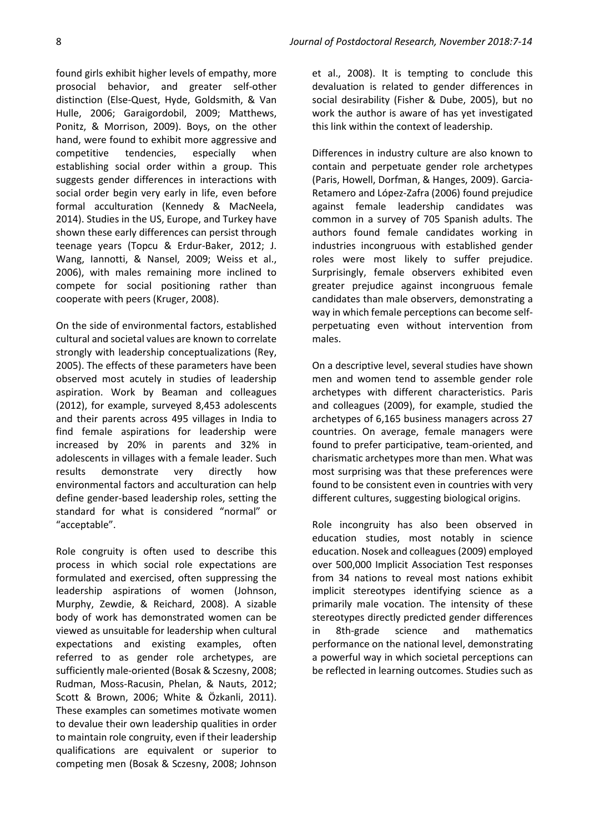found girls exhibit higher levels of empathy, more prosocial behavior, and greater self-other distinction (Else-Quest, Hyde, Goldsmith, & Van Hulle, 2006; Garaigordobil, 2009; Matthews, Ponitz, & Morrison, 2009). Boys, on the other hand, were found to exhibit more aggressive and competitive tendencies, especially when establishing social order within a group. This suggests gender differences in interactions with social order begin very early in life, even before formal acculturation (Kennedy & MacNeela, 2014). Studies in the US, Europe, and Turkey have shown these early differences can persist through teenage years (Topcu & Erdur-Baker, 2012; J. Wang, Iannotti, & Nansel, 2009; Weiss et al., 2006), with males remaining more inclined to compete for social positioning rather than cooperate with peers (Kruger, 2008).

On the side of environmental factors, established cultural and societal values are known to correlate strongly with leadership conceptualizations (Rey, 2005). The effects of these parameters have been observed most acutely in studies of leadership aspiration. Work by Beaman and colleagues (2012), for example, surveyed 8,453 adolescents and their parents across 495 villages in India to find female aspirations for leadership were increased by 20% in parents and 32% in adolescents in villages with a female leader. Such results demonstrate very directly how environmental factors and acculturation can help define gender-based leadership roles, setting the standard for what is considered "normal" or "acceptable".

Role congruity is often used to describe this process in which social role expectations are formulated and exercised, often suppressing the leadership aspirations of women (Johnson, Murphy, Zewdie, & Reichard, 2008). A sizable body of work has demonstrated women can be viewed as unsuitable for leadership when cultural expectations and existing examples, often referred to as gender role archetypes, are sufficiently male-oriented (Bosak & Sczesny, 2008; Rudman, Moss-Racusin, Phelan, & Nauts, 2012; Scott & Brown, 2006; White & Özkanli, 2011). These examples can sometimes motivate women to devalue their own leadership qualities in order to maintain role congruity, even if their leadership qualifications are equivalent or superior to competing men (Bosak & Sczesny, 2008; Johnson

et al., 2008). It is tempting to conclude this devaluation is related to gender differences in social desirability (Fisher & Dube, 2005), but no work the author is aware of has yet investigated this link within the context of leadership.

Differences in industry culture are also known to contain and perpetuate gender role archetypes (Paris, Howell, Dorfman, & Hanges, 2009). Garcia-Retamero and López-Zafra (2006) found prejudice against female leadership candidates was common in a survey of 705 Spanish adults. The authors found female candidates working in industries incongruous with established gender roles were most likely to suffer prejudice. Surprisingly, female observers exhibited even greater prejudice against incongruous female candidates than male observers, demonstrating a way in which female perceptions can become selfperpetuating even without intervention from males.

On a descriptive level, several studies have shown men and women tend to assemble gender role archetypes with different characteristics. Paris and colleagues (2009), for example, studied the archetypes of 6,165 business managers across 27 countries. On average, female managers were found to prefer participative, team-oriented, and charismatic archetypes more than men. What was most surprising was that these preferences were found to be consistent even in countries with very different cultures, suggesting biological origins.

Role incongruity has also been observed in education studies, most notably in science education. Nosek and colleagues (2009) employed over 500,000 Implicit Association Test responses from 34 nations to reveal most nations exhibit implicit stereotypes identifying science as a primarily male vocation. The intensity of these stereotypes directly predicted gender differences in 8th-grade science and mathematics performance on the national level, demonstrating a powerful way in which societal perceptions can be reflected in learning outcomes. Studies such as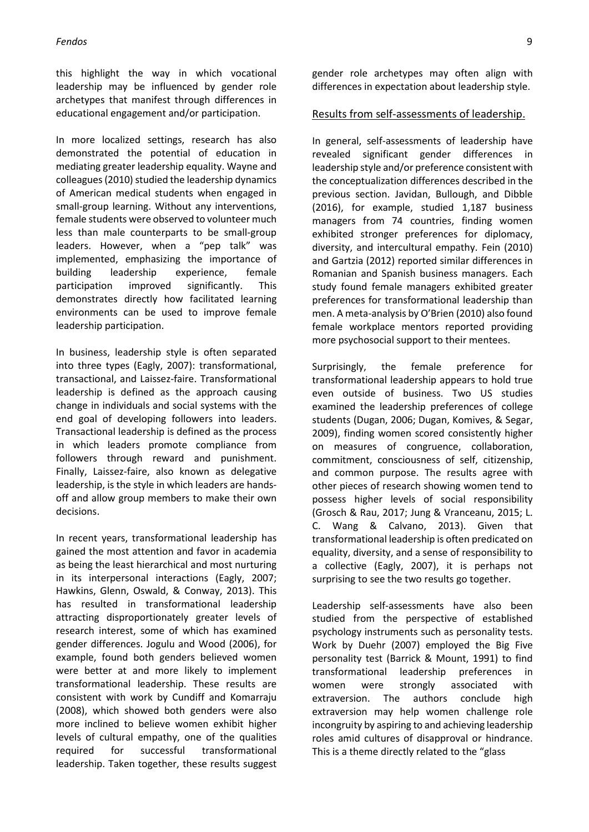this highlight the way in which vocational leadership may be influenced by gender role archetypes that manifest through differences in educational engagement and/or participation.

In more localized settings, research has also demonstrated the potential of education in mediating greater leadership equality. Wayne and colleagues (2010) studied the leadership dynamics of American medical students when engaged in small-group learning. Without any interventions, female students were observed to volunteer much less than male counterparts to be small-group leaders. However, when a "pep talk" was implemented, emphasizing the importance of building leadership experience, female participation improved significantly. This demonstrates directly how facilitated learning environments can be used to improve female leadership participation.

In business, leadership style is often separated into three types (Eagly, 2007): transformational, transactional, and Laissez-faire. Transformational leadership is defined as the approach causing change in individuals and social systems with the end goal of developing followers into leaders. Transactional leadership is defined as the process in which leaders promote compliance from followers through reward and punishment. Finally, Laissez-faire, also known as delegative leadership, is the style in which leaders are handsoff and allow group members to make their own decisions.

In recent years, transformational leadership has gained the most attention and favor in academia as being the least hierarchical and most nurturing in its interpersonal interactions (Eagly, 2007; Hawkins, Glenn, Oswald, & Conway, 2013). This has resulted in transformational leadership attracting disproportionately greater levels of research interest, some of which has examined gender differences. Jogulu and Wood (2006), for example, found both genders believed women were better at and more likely to implement transformational leadership. These results are consistent with work by Cundiff and Komarraju (2008), which showed both genders were also more inclined to believe women exhibit higher levels of cultural empathy, one of the qualities required for successful transformational leadership. Taken together, these results suggest

gender role archetypes may often align with differences in expectation about leadership style.

### Results from self-assessments of leadership.

In general, self-assessments of leadership have revealed significant gender differences in leadership style and/or preference consistent with the conceptualization differences described in the previous section. Javidan, Bullough, and Dibble (2016), for example, studied 1,187 business managers from 74 countries, finding women exhibited stronger preferences for diplomacy, diversity, and intercultural empathy. Fein (2010) and Gartzia (2012) reported similar differences in Romanian and Spanish business managers. Each study found female managers exhibited greater preferences for transformational leadership than men. A meta-analysis by O'Brien (2010) also found female workplace mentors reported providing more psychosocial support to their mentees.

Surprisingly, the female preference for transformational leadership appears to hold true even outside of business. Two US studies examined the leadership preferences of college students (Dugan, 2006; Dugan, Komives, & Segar, 2009), finding women scored consistently higher on measures of congruence, collaboration, commitment, consciousness of self, citizenship, and common purpose. The results agree with other pieces of research showing women tend to possess higher levels of social responsibility (Grosch & Rau, 2017; Jung & Vranceanu, 2015; L. C. Wang & Calvano, 2013). Given that transformational leadership is often predicated on equality, diversity, and a sense of responsibility to a collective (Eagly, 2007), it is perhaps not surprising to see the two results go together.

Leadership self-assessments have also been studied from the perspective of established psychology instruments such as personality tests. Work by Duehr (2007) employed the Big Five personality test (Barrick & Mount, 1991) to find transformational leadership preferences in women were strongly associated with extraversion. The authors conclude high extraversion may help women challenge role incongruity by aspiring to and achieving leadership roles amid cultures of disapproval or hindrance. This is a theme directly related to the "glass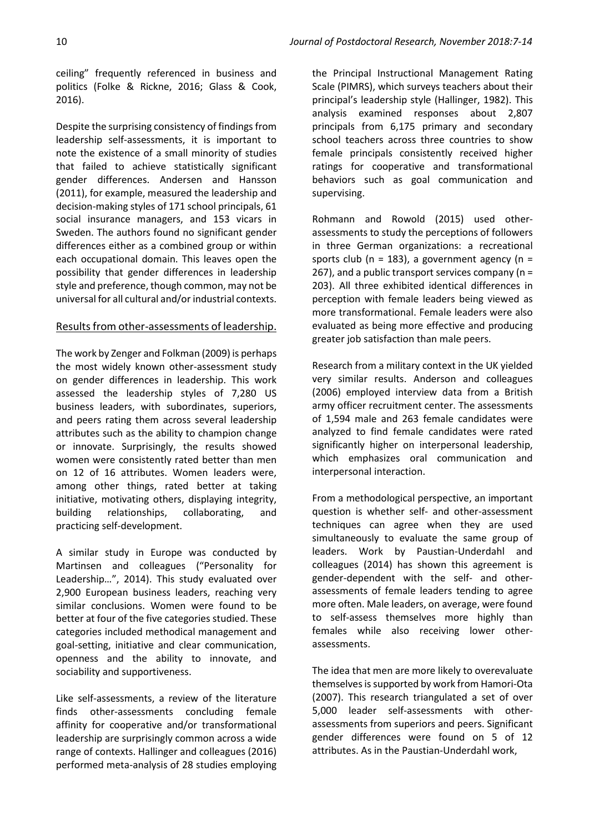ceiling" frequently referenced in business and politics (Folke & Rickne, 2016; Glass & Cook, 2016).

Despite the surprising consistency of findings from leadership self-assessments, it is important to note the existence of a small minority of studies that failed to achieve statistically significant gender differences. Andersen and Hansson (2011), for example, measured the leadership and decision-making styles of 171 school principals, 61 social insurance managers, and 153 vicars in Sweden. The authors found no significant gender differences either as a combined group or within each occupational domain. This leaves open the possibility that gender differences in leadership style and preference, though common, may not be universal for all cultural and/or industrial contexts.

## Results from other-assessments of leadership.

The work by Zenger and Folkman (2009) is perhaps the most widely known other-assessment study on gender differences in leadership. This work assessed the leadership styles of 7,280 US business leaders, with subordinates, superiors, and peers rating them across several leadership attributes such as the ability to champion change or innovate. Surprisingly, the results showed women were consistently rated better than men on 12 of 16 attributes. Women leaders were, among other things, rated better at taking initiative, motivating others, displaying integrity, building relationships, collaborating, and practicing self-development.

A similar study in Europe was conducted by Martinsen and colleagues ("Personality for Leadership…", 2014). This study evaluated over 2,900 European business leaders, reaching very similar conclusions. Women were found to be better at four of the five categories studied. These categories included methodical management and goal-setting, initiative and clear communication, openness and the ability to innovate, and sociability and supportiveness.

Like self-assessments, a review of the literature finds other-assessments concluding female affinity for cooperative and/or transformational leadership are surprisingly common across a wide range of contexts. Hallinger and colleagues (2016) performed meta-analysis of 28 studies employing

the Principal Instructional Management Rating Scale (PIMRS), which surveys teachers about their principal's leadership style (Hallinger, 1982). This analysis examined responses about 2,807 principals from 6,175 primary and secondary school teachers across three countries to show female principals consistently received higher ratings for cooperative and transformational behaviors such as goal communication and supervising.

Rohmann and Rowold (2015) used otherassessments to study the perceptions of followers in three German organizations: a recreational sports club ( $n = 183$ ), a government agency ( $n =$ 267), and a public transport services company (n = 203). All three exhibited identical differences in perception with female leaders being viewed as more transformational. Female leaders were also evaluated as being more effective and producing greater job satisfaction than male peers.

Research from a military context in the UK yielded very similar results. Anderson and colleagues (2006) employed interview data from a British army officer recruitment center. The assessments of 1,594 male and 263 female candidates were analyzed to find female candidates were rated significantly higher on interpersonal leadership, which emphasizes oral communication and interpersonal interaction.

From a methodological perspective, an important question is whether self- and other-assessment techniques can agree when they are used simultaneously to evaluate the same group of leaders. Work by Paustian-Underdahl and colleagues (2014) has shown this agreement is gender-dependent with the self- and otherassessments of female leaders tending to agree more often. Male leaders, on average, were found to self-assess themselves more highly than females while also receiving lower otherassessments.

The idea that men are more likely to overevaluate themselves is supported by work from Hamori-Ota (2007). This research triangulated a set of over 5,000 leader self-assessments with otherassessments from superiors and peers. Significant gender differences were found on 5 of 12 attributes. As in the Paustian-Underdahl work,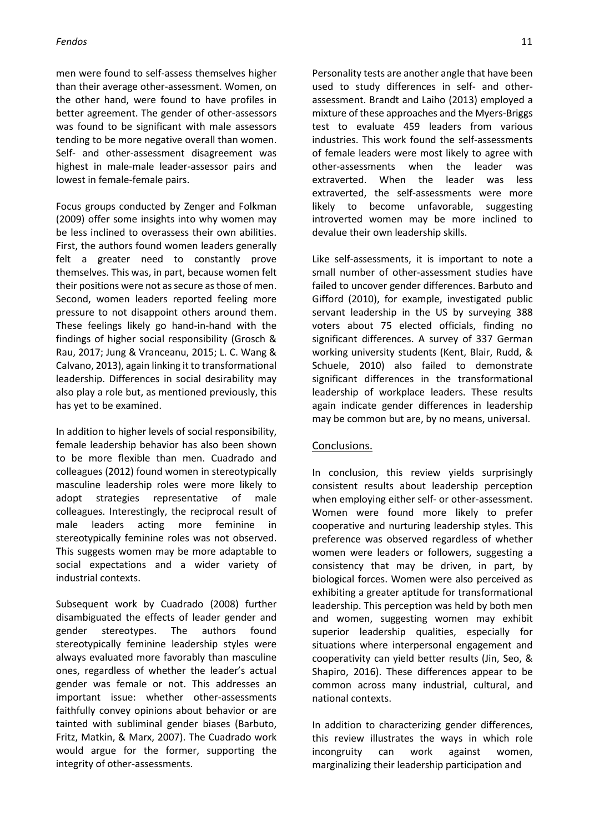### *Fendos* 11

men were found to self-assess themselves higher than their average other-assessment. Women, on the other hand, were found to have profiles in better agreement. The gender of other-assessors was found to be significant with male assessors tending to be more negative overall than women. Self- and other-assessment disagreement was highest in male-male leader-assessor pairs and lowest in female-female pairs.

Focus groups conducted by Zenger and Folkman (2009) offer some insights into why women may be less inclined to overassess their own abilities. First, the authors found women leaders generally felt a greater need to constantly prove themselves. This was, in part, because women felt their positions were not as secure as those of men. Second, women leaders reported feeling more pressure to not disappoint others around them. These feelings likely go hand-in-hand with the findings of higher social responsibility (Grosch & Rau, 2017; Jung & Vranceanu, 2015; L. C. Wang & Calvano, 2013), again linking it to transformational leadership. Differences in social desirability may also play a role but, as mentioned previously, this has yet to be examined.

In addition to higher levels of social responsibility, female leadership behavior has also been shown to be more flexible than men. Cuadrado and colleagues (2012) found women in stereotypically masculine leadership roles were more likely to adopt strategies representative of male colleagues. Interestingly, the reciprocal result of male leaders acting more feminine in stereotypically feminine roles was not observed. This suggests women may be more adaptable to social expectations and a wider variety of industrial contexts.

Subsequent work by Cuadrado (2008) further disambiguated the effects of leader gender and gender stereotypes. The authors found stereotypically feminine leadership styles were always evaluated more favorably than masculine ones, regardless of whether the leader's actual gender was female or not. This addresses an important issue: whether other-assessments faithfully convey opinions about behavior or are tainted with subliminal gender biases (Barbuto, Fritz, Matkin, & Marx, 2007). The Cuadrado work would argue for the former, supporting the integrity of other-assessments.

Personality tests are another angle that have been used to study differences in self- and otherassessment. Brandt and Laiho (2013) employed a mixture of these approaches and the Myers-Briggs test to evaluate 459 leaders from various industries. This work found the self-assessments of female leaders were most likely to agree with other-assessments when the leader was extraverted. When the leader was less extraverted, the self-assessments were more likely to become unfavorable, suggesting introverted women may be more inclined to devalue their own leadership skills.

Like self-assessments, it is important to note a small number of other-assessment studies have failed to uncover gender differences. Barbuto and Gifford (2010), for example, investigated public servant leadership in the US by surveying 388 voters about 75 elected officials, finding no significant differences. A survey of 337 German working university students (Kent, Blair, Rudd, & Schuele, 2010) also failed to demonstrate significant differences in the transformational leadership of workplace leaders. These results again indicate gender differences in leadership may be common but are, by no means, universal.

## Conclusions.

In conclusion, this review yields surprisingly consistent results about leadership perception when employing either self- or other-assessment. Women were found more likely to prefer cooperative and nurturing leadership styles. This preference was observed regardless of whether women were leaders or followers, suggesting a consistency that may be driven, in part, by biological forces. Women were also perceived as exhibiting a greater aptitude for transformational leadership. This perception was held by both men and women, suggesting women may exhibit superior leadership qualities, especially for situations where interpersonal engagement and cooperativity can yield better results (Jin, Seo, & Shapiro, 2016). These differences appear to be common across many industrial, cultural, and national contexts.

In addition to characterizing gender differences, this review illustrates the ways in which role incongruity can work against women, marginalizing their leadership participation and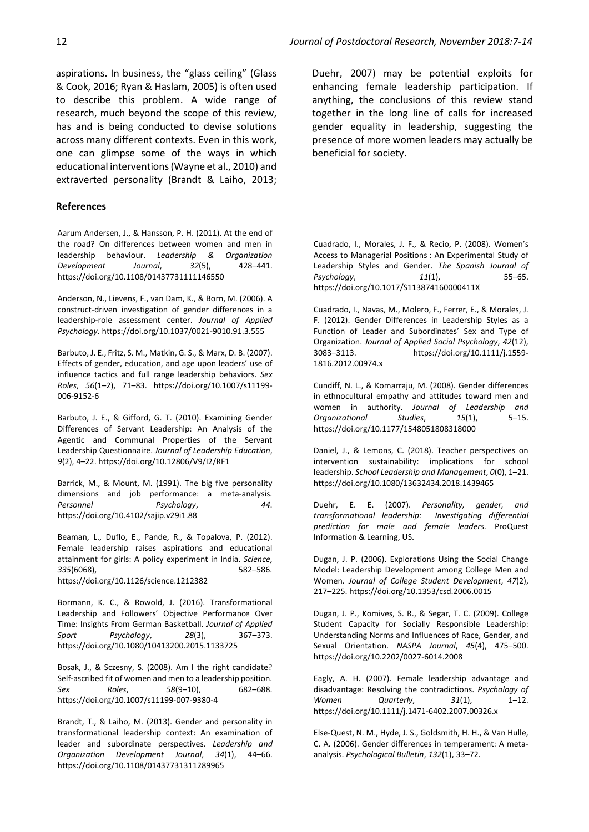aspirations. In business, the "glass ceiling" (Glass & Cook, 2016; Ryan & Haslam, 2005) is often used to describe this problem. A wide range of research, much beyond the scope of this review, has and is being conducted to devise solutions across many different contexts. Even in this work, one can glimpse some of the ways in which educational interventions(Wayne et al., 2010) and extraverted personality (Brandt & Laiho, 2013;

#### **References**

Aarum Andersen, J., & Hansson, P. H. (2011). At the end of the road? On differences between women and men in leadership behaviour. *Leadership & Organization Development Journal*, *32*(5), 428–441. https://doi.org/10.1108/01437731111146550

Anderson, N., Lievens, F., van Dam, K., & Born, M. (2006). A construct-driven investigation of gender differences in a leadership-role assessment center. *Journal of Applied Psychology*. https://doi.org/10.1037/0021-9010.91.3.555

Barbuto, J. E., Fritz, S. M., Matkin, G. S., & Marx, D. B. (2007). Effects of gender, education, and age upon leaders' use of influence tactics and full range leadership behaviors. *Sex Roles*, *56*(1–2), 71–83. https://doi.org/10.1007/s11199- 006-9152-6

Barbuto, J. E., & Gifford, G. T. (2010). Examining Gender Differences of Servant Leadership: An Analysis of the Agentic and Communal Properties of the Servant Leadership Questionnaire. *Journal of Leadership Education*, *9*(2), 4–22. https://doi.org/10.12806/V9/I2/RF1

Barrick, M., & Mount, M. (1991). The big five personality dimensions and job performance: a meta-analysis. *Personnel Psychology*, *44*. https://doi.org/10.4102/sajip.v29i1.88

Beaman, L., Duflo, E., Pande, R., & Topalova, P. (2012). Female leadership raises aspirations and educational attainment for girls: A policy experiment in India. *Science*, *335*(6068), 582–586. https://doi.org/10.1126/science.1212382

Bormann, K. C., & Rowold, J. (2016). Transformational Leadership and Followers' Objective Performance Over Time: Insights From German Basketball. *Journal of Applied Sport Psychology*, *28*(3), 367–373. https://doi.org/10.1080/10413200.2015.1133725

Bosak, J., & Sczesny, S. (2008). Am I the right candidate? Self-ascribed fit of women and men to a leadership position. *Sex Roles*, *58*(9–10), 682–688. https://doi.org/10.1007/s11199-007-9380-4

Brandt, T., & Laiho, M. (2013). Gender and personality in transformational leadership context: An examination of leader and subordinate perspectives. *Leadership and Organization Development Journal*, *34*(1), 44–66. https://doi.org/10.1108/01437731311289965

Duehr, 2007) may be potential exploits for enhancing female leadership participation. If anything, the conclusions of this review stand together in the long line of calls for increased gender equality in leadership, suggesting the presence of more women leaders may actually be beneficial for society.

Cuadrado, I., Morales, J. F., & Recio, P. (2008). Women's Access to Managerial Positions : An Experimental Study of Leadership Styles and Gender. *The Spanish Journal of Psychology*, *11*(1), 55–65. https://doi.org/10.1017/S113874160000411X

Cuadrado, I., Navas, M., Molero, F., Ferrer, E., & Morales, J. F. (2012). Gender Differences in Leadership Styles as a Function of Leader and Subordinates' Sex and Type of Organization. *Journal of Applied Social Psychology*, *42*(12), 3083–3113. https://doi.org/10.1111/j.1559- 1816.2012.00974.x

Cundiff, N. L., & Komarraju, M. (2008). Gender differences in ethnocultural empathy and attitudes toward men and women in authority. *Journal of Leadership and Organizational Studies*, *15*(1), 5–15. https://doi.org/10.1177/1548051808318000

Daniel, J., & Lemons, C. (2018). Teacher perspectives on intervention sustainability: implications for school leadership. *School Leadership and Management*, *0*(0), 1–21. https://doi.org/10.1080/13632434.2018.1439465

Duehr, E. E. (2007). *Personality, gender, and transformational leadership: Investigating differential prediction for male and female leaders.* ProQuest Information & Learning, US.

Dugan, J. P. (2006). Explorations Using the Social Change Model: Leadership Development among College Men and Women. *Journal of College Student Development*, *47*(2), 217–225. https://doi.org/10.1353/csd.2006.0015

Dugan, J. P., Komives, S. R., & Segar, T. C. (2009). College Student Capacity for Socially Responsible Leadership: Understanding Norms and Influences of Race, Gender, and Sexual Orientation. *NASPA Journal*, *45*(4), 475–500. https://doi.org/10.2202/0027-6014.2008

Eagly, A. H. (2007). Female leadership advantage and disadvantage: Resolving the contradictions. *Psychology of Women Quarterly*, *31*(1), 1–12. https://doi.org/10.1111/j.1471-6402.2007.00326.x

Else-Quest, N. M., Hyde, J. S., Goldsmith, H. H., & Van Hulle, C. A. (2006). Gender differences in temperament: A metaanalysis. *Psychological Bulletin*, *132*(1), 33–72.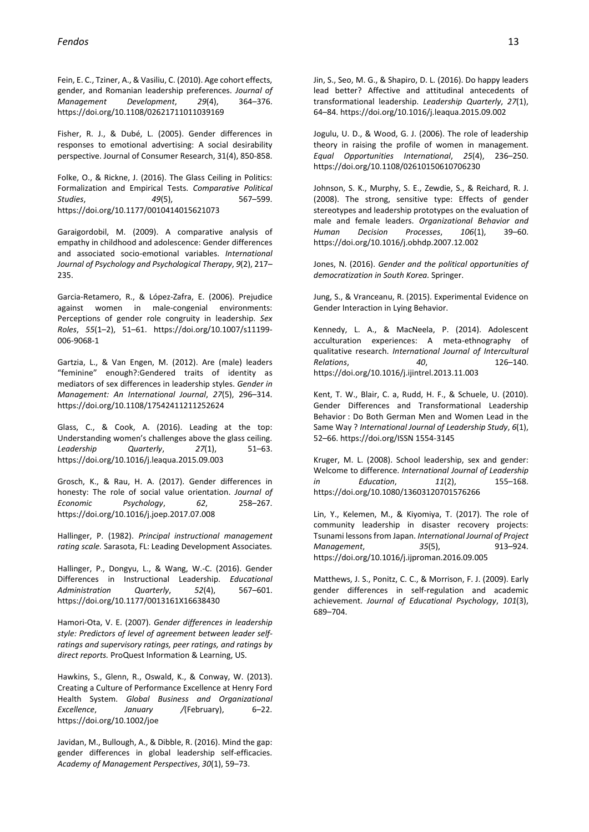Fein, E. C., Tziner, A., & Vasiliu, C. (2010). Age cohort effects, gender, and Romanian leadership preferences. *Journal of Management Development*, *29*(4), 364–376. https://doi.org/10.1108/02621711011039169

Fisher, R. J., & Dubé, L. (2005). Gender differences in responses to emotional advertising: A social desirability perspective. Journal of Consumer Research, 31(4), 850-858.

Folke, O., & Rickne, J. (2016). The Glass Ceiling in Politics: Formalization and Empirical Tests. *Comparative Political Studies*, *49*(5), 567–599. https://doi.org/10.1177/0010414015621073

Garaigordobil, M. (2009). A comparative analysis of empathy in childhood and adolescence: Gender differences and associated socio-emotional variables. *International Journal of Psychology and Psychological Therapy*, *9*(2), 217– 235.

Garcia-Retamero, R., & López-Zafra, E. (2006). Prejudice against women in male-congenial environments: Perceptions of gender role congruity in leadership. *Sex Roles*, *55*(1–2), 51–61. https://doi.org/10.1007/s11199- 006-9068-1

Gartzia, L., & Van Engen, M. (2012). Are (male) leaders "feminine" enough?:Gendered traits of identity as mediators of sex differences in leadership styles. *Gender in Management: An International Journal*, *27*(5), 296–314. https://doi.org/10.1108/17542411211252624

Glass, C., & Cook, A. (2016). Leading at the top: Understanding women's challenges above the glass ceiling. *Leadership Quarterly*, *27*(1), 51–63. https://doi.org/10.1016/j.leaqua.2015.09.003

Grosch, K., & Rau, H. A. (2017). Gender differences in honesty: The role of social value orientation. *Journal of Economic Psychology*, *62*, 258–267. https://doi.org/10.1016/j.joep.2017.07.008

Hallinger, P. (1982). *Principal instructional management rating scale.* Sarasota, FL: Leading Development Associates.

Hallinger, P., Dongyu, L., & Wang, W.-C. (2016). Gender Differences in Instructional Leadership. *Educational Administration Quarterly*, *52*(4), 567–601. https://doi.org/10.1177/0013161X16638430

Hamori-Ota, V. E. (2007). *Gender differences in leadership style: Predictors of level of agreement between leader selfratings and supervisory ratings, peer ratings, and ratings by direct reports.* ProQuest Information & Learning, US.

Hawkins, S., Glenn, R., Oswald, K., & Conway, W. (2013). Creating a Culture of Performance Excellence at Henry Ford Health System. *Global Business and Organizational Excellence*, *January /*(February), 6–22. https://doi.org/10.1002/joe

Javidan, M., Bullough, A., & Dibble, R. (2016). Mind the gap: gender differences in global leadership self-efficacies. *Academy of Management Perspectives*, *30*(1), 59–73.

Jin, S., Seo, M. G., & Shapiro, D. L. (2016). Do happy leaders lead better? Affective and attitudinal antecedents of transformational leadership. *Leadership Quarterly*, *27*(1), 64–84. https://doi.org/10.1016/j.leaqua.2015.09.002

Jogulu, U. D., & Wood, G. J. (2006). The role of leadership theory in raising the profile of women in management. *Equal Opportunities International*, *25*(4), 236–250. https://doi.org/10.1108/02610150610706230

Johnson, S. K., Murphy, S. E., Zewdie, S., & Reichard, R. J. (2008). The strong, sensitive type: Effects of gender stereotypes and leadership prototypes on the evaluation of male and female leaders. *Organizational Behavior and Human Decision Processes*, *106*(1), 39–60. https://doi.org/10.1016/j.obhdp.2007.12.002

Jones, N. (2016). *Gender and the political opportunities of democratization in South Korea.* Springer.

Jung, S., & Vranceanu, R. (2015). Experimental Evidence on Gender Interaction in Lying Behavior.

Kennedy, L. A., & MacNeela, P. (2014). Adolescent acculturation experiences: A meta-ethnography of qualitative research. *International Journal of Intercultural Relations*, *40*, 126–140. https://doi.org/10.1016/j.ijintrel.2013.11.003

Kent, T. W., Blair, C. a, Rudd, H. F., & Schuele, U. (2010). Gender Differences and Transformational Leadership Behavior : Do Both German Men and Women Lead in the Same Way ? *International Journal of Leadership Study*, *6*(1), 52–66. https://doi.org/ISSN 1554-3145

Kruger, M. L. (2008). School leadership, sex and gender: Welcome to difference. *International Journal of Leadership in Education*, *11*(2), 155–168. https://doi.org/10.1080/13603120701576266

Lin, Y., Kelemen, M., & Kiyomiya, T. (2017). The role of community leadership in disaster recovery projects: Tsunami lessonsfrom Japan. *International Journal of Project Management*, *35*(5), 913–924. https://doi.org/10.1016/j.ijproman.2016.09.005

Matthews, J. S., Ponitz, C. C., & Morrison, F. J. (2009). Early gender differences in self-regulation and academic achievement. *Journal of Educational Psychology*, *101*(3), 689–704.